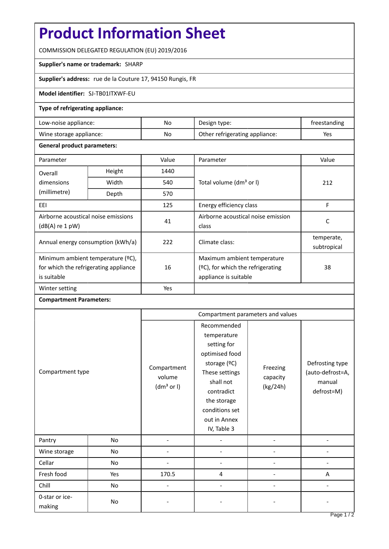# **Product Information Sheet**

COMMISSION DELEGATED REGULATION (EU) 2019/2016

#### **Supplier's name or trademark:** SHARP

**Supplier's address:** rue de la Couture 17, 94150 Rungis, FR

### **Model identifier:** SJ-TB01ITXWF-EU

## **Type of refrigerating appliance:**

| Low-noise appliance:    | No. | Design type:                   | freestanding |
|-------------------------|-----|--------------------------------|--------------|
| Wine storage appliance: | No  | Other refrigerating appliance: | Yes          |

#### **General product parameters:**

| Parameter                                                                                 |        | Value | Parameter                                                                                    | Value                     |
|-------------------------------------------------------------------------------------------|--------|-------|----------------------------------------------------------------------------------------------|---------------------------|
| Overall                                                                                   | Height | 1440  |                                                                                              | 212                       |
| dimensions<br>(millimetre)                                                                | Width  | 540   | Total volume (dm <sup>3</sup> or I)                                                          |                           |
|                                                                                           | Depth  | 570   |                                                                                              |                           |
| EEI                                                                                       |        | 125   | Energy efficiency class                                                                      | F                         |
| Airborne acoustical noise emissions<br>$(dB(A)$ re 1 pW)                                  |        | 41    | Airborne acoustical noise emission<br>class                                                  | C                         |
| Annual energy consumption (kWh/a)                                                         |        | 222   | Climate class:                                                                               | temperate,<br>subtropical |
| Minimum ambient temperature (°C),<br>for which the refrigerating appliance<br>is suitable |        | 16    | Maximum ambient temperature<br>$(2C)$ , for which the refrigerating<br>appliance is suitable | 38                        |
| Winter setting                                                                            |        | Yes   |                                                                                              |                           |

## **Compartment Parameters:**

| Compartment type         |     | Compartment parameters and values               |                                                                                                                                                                                          |                                  |                                                             |
|--------------------------|-----|-------------------------------------------------|------------------------------------------------------------------------------------------------------------------------------------------------------------------------------------------|----------------------------------|-------------------------------------------------------------|
|                          |     | Compartment<br>volume<br>(dm <sup>3</sup> or I) | Recommended<br>temperature<br>setting for<br>optimised food<br>storage (°C)<br>These settings<br>shall not<br>contradict<br>the storage<br>conditions set<br>out in Annex<br>IV, Table 3 | Freezing<br>capacity<br>(kg/24h) | Defrosting type<br>(auto-defrost=A,<br>manual<br>defrost=M) |
| Pantry                   | No  |                                                 |                                                                                                                                                                                          |                                  |                                                             |
| Wine storage             | No  |                                                 |                                                                                                                                                                                          |                                  |                                                             |
| Cellar                   | No  |                                                 |                                                                                                                                                                                          |                                  |                                                             |
| Fresh food               | Yes | 170.5                                           | 4                                                                                                                                                                                        |                                  | A                                                           |
| Chill                    | No  |                                                 |                                                                                                                                                                                          |                                  |                                                             |
| 0-star or ice-<br>making | No  |                                                 |                                                                                                                                                                                          |                                  |                                                             |